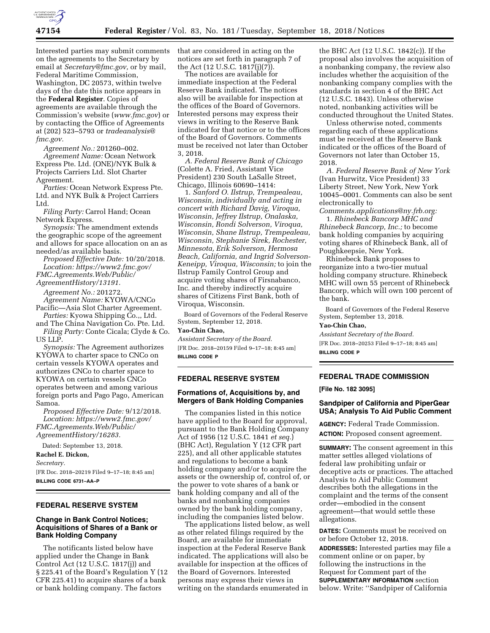

Interested parties may submit comments on the agreements to the Secretary by email at *[Secretary@fmc.gov,](mailto:Secretary@fmc.gov)* or by mail, Federal Maritime Commission, Washington, DC 20573, within twelve days of the date this notice appears in the **Federal Register**. Copies of agreements are available through the Commission's website (*[www.fmc.gov](http://www.fmc.gov)*) or by contacting the Office of Agreements at (202) 523–5793 or *[tradeanalysis@](mailto:tradeanalysis@fmc.gov) [fmc.gov.](mailto:tradeanalysis@fmc.gov)* 

*Agreement No.:* 201260–002. *Agreement Name:* Ocean Network Express Pte. Ltd. (ONE)/NYK Bulk & Projects Carriers Ltd. Slot Charter Agreement.

*Parties:* Ocean Network Express Pte. Ltd. and NYK Bulk & Project Carriers Ltd.

*Filing Party:* Carrol Hand; Ocean Network Express.

*Synopsis:* The amendment extends the geographic scope of the agreement and allows for space allocation on an as needed/as available basis.

*Proposed Effective Date:* 10/20/2018. *Location: [https://www2.fmc.gov/](https://www2.fmc.gov/FMC.Agreements.Web/Public/AgreementHistory/13191) [FMC.Agreements.Web/Public/](https://www2.fmc.gov/FMC.Agreements.Web/Public/AgreementHistory/13191)* 

*[AgreementHistory/13191.](https://www2.fmc.gov/FMC.Agreements.Web/Public/AgreementHistory/13191)* 

*Agreement No.:* 201272.

*Agreement Name:* KYOWA/CNCo Pacific—Asia Slot Charter Agreement.

*Parties:* Kyowa Shipping Co.,, Ltd. and The China Navigation Co. Pte. Ltd. *Filing Party:* Conte Cicala; Clyde & Co.

US LLP.

*Synopsis:* The Agreement authorizes KYOWA to charter space to CNCo on certain vessels KYOWA operates and authorizes CNCo to charter space to KYOWA on certain vessels CNCo operates between and among various foreign ports and Pago Pago, American Samoa.

*Proposed Effective Date:* 9/12/2018. *Location: [https://www2.fmc.gov/](https://www2.fmc.gov/FMC.Agreements.Web/Public/AgreementHistory/16283) [FMC.Agreements.Web/Public/](https://www2.fmc.gov/FMC.Agreements.Web/Public/AgreementHistory/16283) [AgreementHistory/16283.](https://www2.fmc.gov/FMC.Agreements.Web/Public/AgreementHistory/16283)* 

Dated: September 13, 2018.

**Rachel E. Dickon,** 

*Secretary.* 

[FR Doc. 2018–20219 Filed 9–17–18; 8:45 am] **BILLING CODE 6731–AA–P** 

# **FEDERAL RESERVE SYSTEM**

## **Change in Bank Control Notices; Acquisitions of Shares of a Bank or Bank Holding Company**

The notificants listed below have applied under the Change in Bank Control Act (12 U.S.C. 1817(j)) and § 225.41 of the Board's Regulation Y (12 CFR 225.41) to acquire shares of a bank or bank holding company. The factors

that are considered in acting on the notices are set forth in paragraph 7 of the Act (12 U.S.C. 1817(j)(7)).

The notices are available for immediate inspection at the Federal Reserve Bank indicated. The notices also will be available for inspection at the offices of the Board of Governors. Interested persons may express their views in writing to the Reserve Bank indicated for that notice or to the offices of the Board of Governors. Comments must be received not later than October 3, 2018.

*A. Federal Reserve Bank of Chicago*  (Colette A. Fried, Assistant Vice President) 230 South LaSalle Street, Chicago, Illinois 60690–1414:

1. *Sanford O. Ilstrup, Trempealeau, Wisconsin, individually and acting in concert with Richard Davig, Viroqua, Wisconsin, Jeffrey Ilstrup, Onalaska, Wisconsin, Rondi Solverson, Viroqua, Wisconsin, Shane Ilstrup, Trempealeau, Wisconsin, Stephanie Sirek, Rochester, Minnesota, Erik Solverson, Hermosa Beach, California, and Ingrid Solverson-Keneipp, Viroqua, Wisconsin;* to join the Ilstrup Family Control Group and acquire voting shares of Firsnabanco, Inc. and thereby indirectly acquire shares of Citizens First Bank, both of Viroqua, Wisconsin.

Board of Governors of the Federal Reserve System, September 12, 2018.

### **Yao-Chin Chao,**

*Assistant Secretary of the Board.*  [FR Doc. 2018–20159 Filed 9–17–18; 8:45 am] **BILLING CODE P** 

### **FEDERAL RESERVE SYSTEM**

# **Formations of, Acquisitions by, and Mergers of Bank Holding Companies**

The companies listed in this notice have applied to the Board for approval, pursuant to the Bank Holding Company Act of 1956 (12 U.S.C. 1841 *et seq.*) (BHC Act), Regulation Y (12 CFR part 225), and all other applicable statutes and regulations to become a bank holding company and/or to acquire the assets or the ownership of, control of, or the power to vote shares of a bank or bank holding company and all of the banks and nonbanking companies owned by the bank holding company, including the companies listed below.

The applications listed below, as well as other related filings required by the Board, are available for immediate inspection at the Federal Reserve Bank indicated. The applications will also be available for inspection at the offices of the Board of Governors. Interested persons may express their views in writing on the standards enumerated in

the BHC Act (12 U.S.C. 1842(c)). If the proposal also involves the acquisition of a nonbanking company, the review also includes whether the acquisition of the nonbanking company complies with the standards in section 4 of the BHC Act (12 U.S.C. 1843). Unless otherwise noted, nonbanking activities will be conducted throughout the United States.

Unless otherwise noted, comments regarding each of these applications must be received at the Reserve Bank indicated or the offices of the Board of Governors not later than October 15, 2018.

*A. Federal Reserve Bank of New York*  (Ivan Hurwitz, Vice President) 33 Liberty Street, New York, New York 10045–0001. Comments can also be sent electronically to

*[Comments.applications@ny.frb.org:](mailto:Comments.applications@ny.frb.org)*  1. *Rhinebeck Bancorp MHC and Rhinebeck Bancorp, Inc.;* to become bank holding companies by acquiring voting shares of Rhinebeck Bank, all of Poughkeepsie, New York.

Rhinebeck Bank proposes to reorganize into a two-tier mutual holding company structure. Rhinebeck MHC will own 55 percent of Rhinebeck Bancorp, which will own 100 percent of the bank.

Board of Governors of the Federal Reserve System, September 13, 2018.

#### **Yao-Chin Chao,**

*Assistant Secretary of the Board.*  [FR Doc. 2018–20253 Filed 9–17–18; 8:45 am] **BILLING CODE P** 

### **FEDERAL TRADE COMMISSION**

#### **[File No. 182 3095]**

# **Sandpiper of California and PiperGear USA; Analysis To Aid Public Comment**

**AGENCY:** Federal Trade Commission. **ACTION:** Proposed consent agreement.

**SUMMARY:** The consent agreement in this matter settles alleged violations of federal law prohibiting unfair or deceptive acts or practices. The attached Analysis to Aid Public Comment describes both the allegations in the complaint and the terms of the consent order—embodied in the consent agreement—that would settle these allegations.

**DATES:** Comments must be received on or before October 12, 2018.

**ADDRESSES:** Interested parties may file a comment online or on paper, by following the instructions in the Request for Comment part of the **SUPPLEMENTARY INFORMATION** section below. Write: ''Sandpiper of California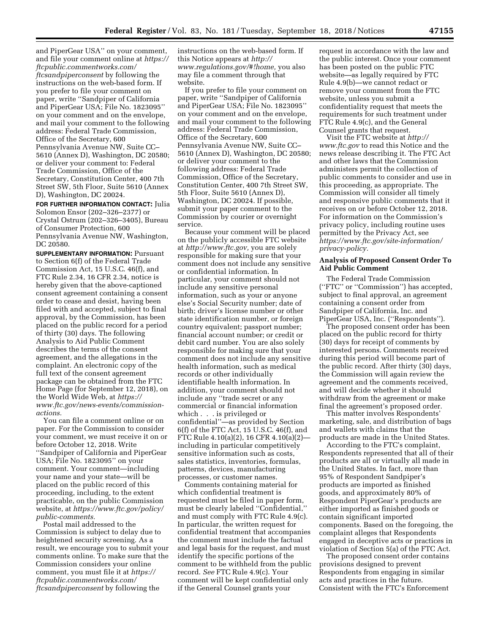and PiperGear USA'' on your comment, and file your comment online at *[https://](https://ftcpublic.commentworks.com/ftcsandpiperconsent)  [ftcpublic.commentworks.com/](https://ftcpublic.commentworks.com/ftcsandpiperconsent)  [ftcsandpiperconsent](https://ftcpublic.commentworks.com/ftcsandpiperconsent)* by following the instructions on the web-based form. If you prefer to file your comment on paper, write ''Sandpiper of California and PiperGear USA; File No. 1823095'' on your comment and on the envelope, and mail your comment to the following address: Federal Trade Commission, Office of the Secretary, 600 Pennsylvania Avenue NW, Suite CC– 5610 (Annex D), Washington, DC 20580; or deliver your comment to: Federal Trade Commission, Office of the Secretary, Constitution Center, 400 7th Street SW, 5th Floor, Suite 5610 (Annex D), Washington, DC 20024.

**FOR FURTHER INFORMATION CONTACT:** Julia Solomon Ensor (202–326–2377) or Crystal Ostrum (202–326–3405), Bureau of Consumer Protection, 600 Pennsylvania Avenue NW, Washington, DC 20580.

**SUPPLEMENTARY INFORMATION:** Pursuant to Section 6(f) of the Federal Trade Commission Act, 15 U.S.C. 46(f), and FTC Rule 2.34, 16 CFR 2.34, notice is hereby given that the above-captioned consent agreement containing a consent order to cease and desist, having been filed with and accepted, subject to final approval, by the Commission, has been placed on the public record for a period of thirty (30) days. The following Analysis to Aid Public Comment describes the terms of the consent agreement, and the allegations in the complaint. An electronic copy of the full text of the consent agreement package can be obtained from the FTC Home Page (for September 12, 2018), on the World Wide Web, at *[https://](https://www.ftc.gov/news-events/commission-actions) [www.ftc.gov/news-events/commission](https://www.ftc.gov/news-events/commission-actions)[actions.](https://www.ftc.gov/news-events/commission-actions)* 

You can file a comment online or on paper. For the Commission to consider your comment, we must receive it on or before October 12, 2018. Write ''Sandpiper of California and PiperGear USA; File No. 1823095'' on your comment. Your comment—including your name and your state—will be placed on the public record of this proceeding, including, to the extent practicable, on the public Commission website, at *[https://www.ftc.gov/policy/](https://www.ftc.gov/policy/public-comments) [public-comments.](https://www.ftc.gov/policy/public-comments)* 

Postal mail addressed to the Commission is subject to delay due to heightened security screening. As a result, we encourage you to submit your comments online. To make sure that the Commission considers your online comment, you must file it at *[https://](https://ftcpublic.commentworks.com/ftcsandpiperconsent) [ftcpublic.commentworks.com/](https://ftcpublic.commentworks.com/ftcsandpiperconsent)  [ftcsandpiperconsent](https://ftcpublic.commentworks.com/ftcsandpiperconsent)* by following the

instructions on the web-based form. If this Notice appears at *[http://](http://www.regulations.gov/#!home) [www.regulations.gov/#!home,](http://www.regulations.gov/#!home)* you also may file a comment through that website.

If you prefer to file your comment on paper, write ''Sandpiper of California and PiperGear USA; File No. 1823095'' on your comment and on the envelope, and mail your comment to the following address: Federal Trade Commission, Office of the Secretary, 600 Pennsylvania Avenue NW, Suite CC– 5610 (Annex D), Washington, DC 20580; or deliver your comment to the following address: Federal Trade Commission, Office of the Secretary, Constitution Center, 400 7th Street SW, 5th Floor, Suite 5610 (Annex D), Washington, DC 20024. If possible, submit your paper comment to the Commission by courier or overnight service.

Because your comment will be placed on the publicly accessible FTC website at *[http://www.ftc.gov,](http://www.ftc.gov)* you are solely responsible for making sure that your comment does not include any sensitive or confidential information. In particular, your comment should not include any sensitive personal information, such as your or anyone else's Social Security number; date of birth; driver's license number or other state identification number, or foreign country equivalent; passport number; financial account number; or credit or debit card number. You are also solely responsible for making sure that your comment does not include any sensitive health information, such as medical records or other individually identifiable health information. In addition, your comment should not include any ''trade secret or any commercial or financial information which . . . is privileged or confidential''—as provided by Section 6(f) of the FTC Act, 15 U.S.C. 46(f), and FTC Rule 4.10(a)(2), 16 CFR 4.10(a)(2) including in particular competitively sensitive information such as costs, sales statistics, inventories, formulas, patterns, devices, manufacturing processes, or customer names.

Comments containing material for which confidential treatment is requested must be filed in paper form, must be clearly labeled ''Confidential,'' and must comply with FTC Rule 4.9(c). In particular, the written request for confidential treatment that accompanies the comment must include the factual and legal basis for the request, and must identify the specific portions of the comment to be withheld from the public record. *See* FTC Rule 4.9(c). Your comment will be kept confidential only if the General Counsel grants your

request in accordance with the law and the public interest. Once your comment has been posted on the public FTC website—as legally required by FTC Rule 4.9(b)—we cannot redact or remove your comment from the FTC website, unless you submit a confidentiality request that meets the requirements for such treatment under FTC Rule 4.9(c), and the General Counsel grants that request.

Visit the FTC website at *[http://](http://www.ftc.gov) [www.ftc.gov](http://www.ftc.gov)* to read this Notice and the news release describing it. The FTC Act and other laws that the Commission administers permit the collection of public comments to consider and use in this proceeding, as appropriate. The Commission will consider all timely and responsive public comments that it receives on or before October 12, 2018. For information on the Commission's privacy policy, including routine uses permitted by the Privacy Act, see *[https://www.ftc.gov/site-information/](https://www.ftc.gov/site-information/privacy-policy) [privacy-policy.](https://www.ftc.gov/site-information/privacy-policy)* 

### **Analysis of Proposed Consent Order To Aid Public Comment**

The Federal Trade Commission (''FTC'' or ''Commission'') has accepted, subject to final approval, an agreement containing a consent order from Sandpiper of California, Inc. and PiperGear USA, Inc. (''Respondents'').

The proposed consent order has been placed on the public record for thirty (30) days for receipt of comments by interested persons. Comments received during this period will become part of the public record. After thirty (30) days, the Commission will again review the agreement and the comments received, and will decide whether it should withdraw from the agreement or make final the agreement's proposed order.

This matter involves Respondents' marketing, sale, and distribution of bags and wallets with claims that the products are made in the United States.

According to the FTC's complaint, Respondents represented that all of their products are all or virtually all made in the United States. In fact, more than 95% of Respondent Sandpiper's products are imported as finished goods, and approximately 80% of Respondent PiperGear's products are either imported as finished goods or contain significant imported components. Based on the foregoing, the complaint alleges that Respondents engaged in deceptive acts or practices in violation of Section 5(a) of the FTC Act.

The proposed consent order contains provisions designed to prevent Respondents from engaging in similar acts and practices in the future. Consistent with the FTC's Enforcement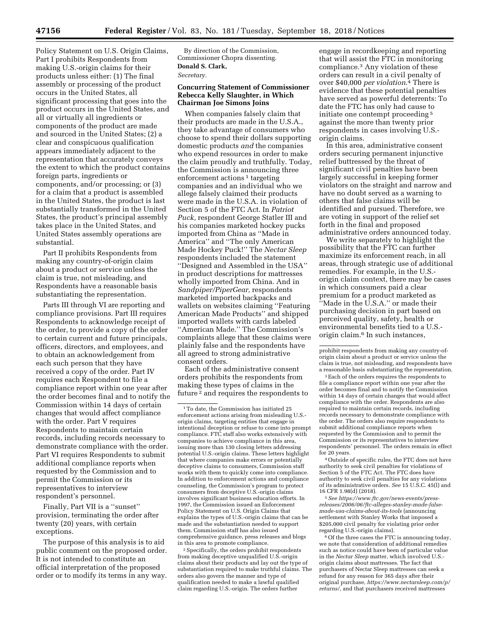Policy Statement on U.S. Origin Claims, Part I prohibits Respondents from making U.S.-origin claims for their products unless either: (1) The final assembly or processing of the product occurs in the United States, all significant processing that goes into the product occurs in the United States, and all or virtually all ingredients or components of the product are made and sourced in the United States; (2) a clear and conspicuous qualification appears immediately adjacent to the representation that accurately conveys the extent to which the product contains foreign parts, ingredients or components, and/or processing; or (3) for a claim that a product is assembled in the United States, the product is last substantially transformed in the United States, the product's principal assembly takes place in the United States, and United States assembly operations are substantial.

Part II prohibits Respondents from making any country-of-origin claim about a product or service unless the claim is true, not misleading, and Respondents have a reasonable basis substantiating the representation.

Parts III through VI are reporting and compliance provisions. Part III requires Respondents to acknowledge receipt of the order, to provide a copy of the order to certain current and future principals, officers, directors, and employees, and to obtain an acknowledgement from each such person that they have received a copy of the order. Part IV requires each Respondent to file a compliance report within one year after the order becomes final and to notify the Commission within 14 days of certain changes that would affect compliance with the order. Part V requires Respondents to maintain certain records, including records necessary to demonstrate compliance with the order. Part VI requires Respondents to submit additional compliance reports when requested by the Commission and to permit the Commission or its representatives to interview respondent's personnel.

Finally, Part VII is a ''sunset'' provision, terminating the order after twenty (20) years, with certain exceptions.

The purpose of this analysis is to aid public comment on the proposed order. It is not intended to constitute an official interpretation of the proposed order or to modify its terms in any way.

By direction of the Commission, Commissioner Chopra dissenting. **Donald S. Clark,**  *Secretary.* 

## **Concurring Statement of Commissioner Rebecca Kelly Slaughter, in Which Chairman Joe Simons Joins**

When companies falsely claim that their products are made in the U.S.A., they take advantage of consumers who choose to spend their dollars supporting domestic products *and* the companies who expend resources in order to make the claim proudly and truthfully. Today, the Commission is announcing three enforcement actions<sup>1</sup> targeting companies and an individual who we allege falsely claimed their products were made in the U.S.A. in violation of Section 5 of the FTC Act. In *Patriot Puck,* respondent George Statler III and his companies marketed hockey pucks imported from China as ''Made in America'' and ''The only American Made Hockey Puck!'' The *Nectar Sleep*  respondents included the statement ''Designed and Assembled in the USA'' in product descriptions for mattresses wholly imported from China. And in *Sandpiper/PiperGear,* respondents marketed imported backpacks and wallets on websites claiming ''Featuring American Made Products'' and shipped imported wallets with cards labeled ''American Made.'' The Commission's complaints allege that these claims were plainly false and the respondents have all agreed to strong administrative consent orders.

Each of the administrative consent orders prohibits the respondents from making these types of claims in the future 2 and requires the respondents to

2Specifically, the orders prohibit respondents from making deceptive unqualified U.S.-origin claims about their products and lay out the type of substantiation required to make truthful claims. The orders also govern the manner and type of qualification needed to make a lawful qualified claim regarding U.S.-origin. The orders further

engage in recordkeeping and reporting that will assist the FTC in monitoring compliance.3 Any violation of these orders can result in a civil penalty of over \$40,000 *per violation*.4 There is evidence that these potential penalties have served as powerful deterrents: To date the FTC has only had cause to initiate one contempt proceeding 5 against the more than twenty prior respondents in cases involving U.S. origin claims.

In this area, administrative consent orders securing permanent injunctive relief buttressed by the threat of significant civil penalties have been largely successful in keeping former violators on the straight and narrow and have no doubt served as a warning to others that false claims will be identified and pursued. Therefore, we are voting in support of the relief set forth in the final and proposed administrative orders announced today.

We write separately to highlight the possibility that the FTC can further maximize its enforcement reach, in all areas, through strategic use of additional remedies. For example, in the U.S. origin claim context, there may be cases in which consumers paid a clear premium for a product marketed as ''Made in the U.S.A.'' or made their purchasing decision in part based on perceived quality, safety, health or environmental benefits tied to a U.S. origin claim.6 In such instances,

3Each of the orders requires the respondents to file a compliance report within one year after the order becomes final and to notify the Commission within 14 days of certain changes that would affect compliance with the order. Respondents are also required to maintain certain records, including records necessary to demonstrate compliance with the order. The orders also require respondents to submit additional compliance reports when requested by the Commission and to permit the Commission or its representatives to interview respondents' personnel. The orders remain in effect for 20 years.

4Outside of specific rules, the FTC does not have authority to seek civil penalties for violations of Section 5 of the FTC Act. The FTC does have authority to seek civil penalties for any violations of its administrative orders. *See* 15 U.S.C. 45(l) and 16 CFR 1.98(d) (2018).

5*See [https://www.ftc.gov/news-events/press-](https://www.ftc.gov/news-events/press-releases/2006/06/ftc-alleges-stanley-made-false-made-usa-claims-about-its-tools)[releases/2006/06/ftc-alleges-stanley-made-false](https://www.ftc.gov/news-events/press-releases/2006/06/ftc-alleges-stanley-made-false-made-usa-claims-about-its-tools)[made-usa-claims-about-its-tools](https://www.ftc.gov/news-events/press-releases/2006/06/ftc-alleges-stanley-made-false-made-usa-claims-about-its-tools)* (announcing settlement with Stanley Works that imposed a \$205,000 civil penalty for violating prior order regarding U.S.-origin claims).

6Of the three cases the FTC is announcing today, we note that consideration of additional remedies such as notice could have been of particular value in the *Nectar Sleep* matter, which involved U.S. origin claims about mattresses. The fact that purchasers of Nectar Sleep mattresses can seek a refund for any reason for 365 days after their original purchase, *[https://www.nectarsleep.com/p/](https://www.nectarsleep.com/p/returns/)  [returns/,](https://www.nectarsleep.com/p/returns/)* and that purchasers received mattresses

<sup>1</sup>To date, the Commission has initiated 25 enforcement actions arising from misleading U.S. origin claims, targeting entities that engage in intentional deception or refuse to come into prompt compliance. FTC staff also works extensively with companies to achieve compliance in this area, issuing more than 130 closing letters addressing potential U.S.-origin claims. These letters highlight that where companies make errors or potentially deceptive claims to consumers, Commission staff works with them to quickly come into compliance. In addition to enforcement actions and compliance counseling, the Commission's program to protect consumers from deceptive U.S.-origin claims involves significant business education efforts. In 1997, the Commission issued an Enforcement Policy Statement on U.S. Origin Claims that explains the types of U.S.-origin claims that can be made and the substantiation needed to support them. Commission staff has also issued comprehensive guidance, press releases and blogs in this area to promote compliance.

prohibit respondents from making any country-oforigin claim about a product or service unless the claim is true, not misleading, and respondents have a reasonable basis substantiating the representation.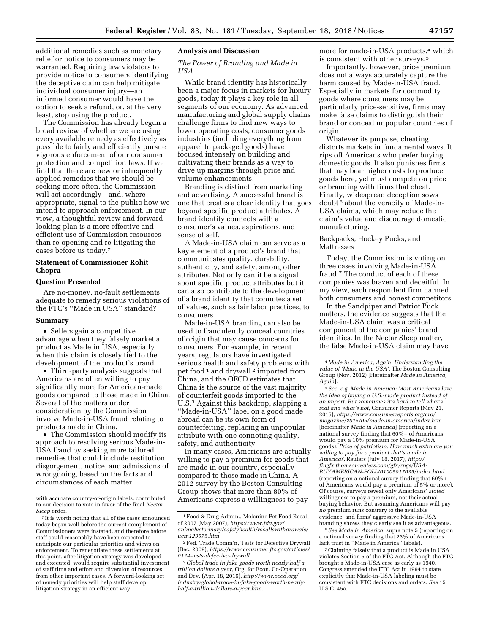additional remedies such as monetary relief or notice to consumers may be warranted. Requiring law violators to provide notice to consumers identifying the deceptive claim can help mitigate individual consumer injury—an informed consumer would have the option to seek a refund, or, at the very least, stop using the product.

The Commission has already begun a broad review of whether we are using every available remedy as effectively as possible to fairly and efficiently pursue vigorous enforcement of our consumer protection and competition laws. If we find that there are new or infrequently applied remedies that we should be seeking more often, the Commission will act accordingly—and, where appropriate, signal to the public how we intend to approach enforcement. In our view, a thoughtful review and forwardlooking plan is a more effective and efficient use of Commission resources than re-opening and re-litigating the cases before us today.7

## **Statement of Commissioner Rohit Chopra**

### **Question Presented**

Are no-money, no-fault settlements adequate to remedy serious violations of the FTC's ''Made in USA'' standard?

#### **Summary**

• Sellers gain a competitive advantage when they falsely market a product as Made in USA, especially when this claim is closely tied to the development of the product's brand.

• Third-party analysis suggests that Americans are often willing to pay significantly more for American-made goods compared to those made in China. Several of the matters under consideration by the Commission involve Made-in-USA fraud relating to products made in China.

• The Commission should modify its approach to resolving serious Made-in-USA fraud by seeking more tailored remedies that could include restitution, disgorgement, notice, and admissions of wrongdoing, based on the facts and circumstances of each matter.

## **Analysis and Discussion**

## *The Power of Branding and Made in USA*

While brand identity has historically been a major focus in markets for luxury goods, today it plays a key role in all segments of our economy. As advanced manufacturing and global supply chains challenge firms to find new ways to lower operating costs, consumer goods industries (including everything from apparel to packaged goods) have focused intensely on building and cultivating their brands as a way to drive up margins through price and volume enhancements.

Branding is distinct from marketing and advertising. A successful brand is one that creates a clear identity that goes beyond specific product attributes. A brand identity connects with a consumer's values, aspirations, and sense of self.

A Made-in-USA claim can serve as a key element of a product's brand that communicates quality, durability, authenticity, and safety, among other attributes. Not only can it be a signal about specific product attributes but it can also contribute to the development of a brand identity that connotes a set of values, such as fair labor practices, to consumers.

Made-in-USA branding can also be used to fraudulently conceal countries of origin that may cause concerns for consumers. For example, in recent years, regulators have investigated serious health and safety problems with pet food 1 and drywall 2 imported from China, and the OECD estimates that China is the source of the vast majority of counterfeit goods imported to the U.S.3 Against this backdrop, slapping a ''Made-in-USA'' label on a good made abroad can be its own form of counterfeiting, replacing an unpopular attribute with one connoting quality, safety, and authenticity.

In many cases, Americans are actually willing to pay a premium for goods that are made in our country, especially compared to those made in China. A 2012 survey by the Boston Consulting Group shows that more than 80% of Americans express a willingness to pay

more for made-in-USA products,<sup>4</sup> which is consistent with other surveys.5

Importantly, however, price premium does not always accurately capture the harm caused by Made-in-USA fraud. Especially in markets for commodity goods where consumers may be particularly price-sensitive, firms may make false claims to distinguish their brand or conceal unpopular countries of origin.

Whatever its purpose, cheating distorts markets in fundamental ways. It rips off Americans who prefer buying domestic goods. It also punishes firms that may bear higher costs to produce goods here, yet must compete on price or branding with firms that cheat. Finally, widespread deception sows doubt 6 about the veracity of Made-in-USA claims, which may reduce the claim's value and discourage domestic manufacturing.

Backpacks, Hockey Pucks, and Mattresses

Today, the Commission is voting on three cases involving Made-in-USA fraud.7 The conduct of each of these companies was brazen and deceitful. In my view, each respondent firm harmed both consumers and honest competitors.

In the Sandpiper and Patriot Puck matters, the evidence suggests that the Made-in-USA claim was a critical component of the companies' brand identities. In the Nectar Sleep matter, the false Made-in-USA claim may have

5*See, e.g. Made in America: Most Americans love the idea of buying a U.S.-made product instead of an import. But sometimes it's hard to tell what's real and what's not,* Consumer Reports (May 21, 2015), *[https://www.consumerreports.org/cro/](https://www.consumerreports.org/cro/magazine/2015/05/made-in-america/index.htm) [magazine/2015/05/made-in-america/index.htm](https://www.consumerreports.org/cro/magazine/2015/05/made-in-america/index.htm)*  [hereinafter *Made in America*] (reporting on a national survey finding that 60%+ of Americans would pay a 10% premium for Made-in-USA goods); *Price of patriotism: How much extra are you willing to pay for a product that's made in America?,* Reuters (July 18, 2017), *[http://](http://fingfx.thomsonreuters.com/gfx/rngs/USA-BUYAMERICAN-POLL/01005017035/index.html) [fingfx.thomsonreuters.com/gfx/rngs/USA-](http://fingfx.thomsonreuters.com/gfx/rngs/USA-BUYAMERICAN-POLL/01005017035/index.html)[BUYAMERICAN-POLL/01005017035/index.html](http://fingfx.thomsonreuters.com/gfx/rngs/USA-BUYAMERICAN-POLL/01005017035/index.html)*  (reporting on a national survey finding that 60%+ of Americans would pay a premium of 5% or more). Of course, surveys reveal only Americans' *stated*  willingness to pay a premium, not their actual buying behavior. But assuming Americans will pay *no* premium runs contrary to the available evidence, and firms' aggressive Made-in-USA branding shows they clearly see it as advantageous.

6*See Made in America,* supra note 5 (reporting on a national survey finding that 23% of Americans lack trust in ''Made in America'' labels).

7Claiming falsely that a product is Made in USA violates Section 5 of the FTC Act. Although the FTC brought a Made-in-USA case as early as 1940, Congress amended the FTC Act in 1994 to state explicitly that Made-in-USA labeling must be consistent with FTC decisions and orders. *See* 15 U.S.C. 45a.

with accurate country-of-origin labels, contributed to our decision to vote in favor of the final *Nectar Sleep* order.

<sup>7</sup> It is worth noting that all of the cases announced today began well before the current complement of Commissioners were instated, and therefore before staff could reasonably have been expected to anticipate our particular priorities and views on enforcement. To renegotiate these settlements at this point, after litigation strategy was developed and executed, would require substantial investment of staff time and effort and diversion of resources from other important cases. A forward-looking set of remedy priorities will help staff develop litigation strategy in an efficient way.

<sup>1</sup>Food & Drug Admin., Melanine Pet Food Recall of 2007 (May 2007), *[https://www.fda.gov/](https://www.fda.gov/animalveterinary/safetyhealth/recallswithdrawals/ucm129575.htm) [animalveterinary/safetyhealth/recallswithdrawals/](https://www.fda.gov/animalveterinary/safetyhealth/recallswithdrawals/ucm129575.htm) [ucm129575.htm](https://www.fda.gov/animalveterinary/safetyhealth/recallswithdrawals/ucm129575.htm)*.

<sup>2</sup>Fed. Trade Comm'n, Tests for Defective Drywall (Dec. 2009), *[https://www.consumer.ftc.gov/articles/](https://www.consumer.ftc.gov/articles/0124-tests-defective-drywall) [0124-tests-defective-drywall](https://www.consumer.ftc.gov/articles/0124-tests-defective-drywall)*.

<sup>3</sup> *Global trade in fake goods worth nearly half a trillion dollars a year,* Org. for Econ. Co-Operation and Dev. (Apr. 18, 2016), *[http://www.oecd.org/](http://www.oecd.org/industry/global-trade-in-fake-goods-worth-nearly-half-a-trillion-dollars-a-year.htm)  [industry/global-trade-in-fake-goods-worth-nearly](http://www.oecd.org/industry/global-trade-in-fake-goods-worth-nearly-half-a-trillion-dollars-a-year.htm)[half-a-trillion-dollars-a-year.htm](http://www.oecd.org/industry/global-trade-in-fake-goods-worth-nearly-half-a-trillion-dollars-a-year.htm)*.

<sup>4</sup> *Made in America, Again: Understanding the value of 'Made in the USA',* The Boston Consulting Group (Nov. 2012) [Hereinafter *Made in America, Again*].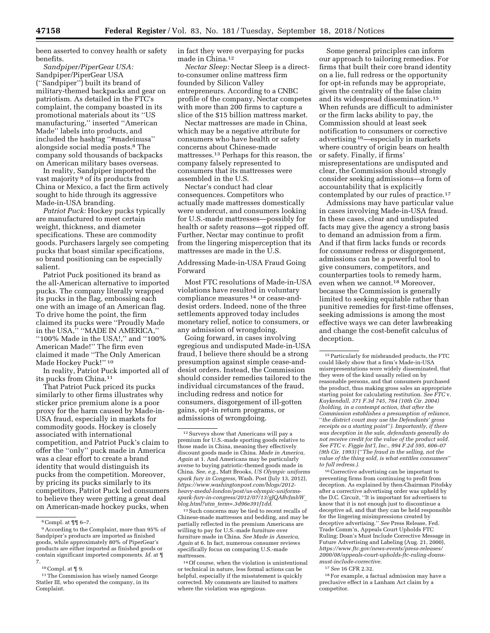been asserted to convey health or safety benefits.

*Sandpiper/PiperGear USA:*  Sandpiper/PiperGear USA (''Sandpiper'') built its brand of military-themed backpacks and gear on patriotism. As detailed in the FTC's complaint, the company boasted in its promotional materials about its ''US manufacturing,'' inserted ''American Made'' labels into products, and included the hashtag ''#madeinusa'' alongside social media posts.8 The company sold thousands of backpacks on American military bases overseas.

In reality, Sandpiper imported the vast majority 9 of its products from China or Mexico, a fact the firm actively sought to hide through its aggressive Made-in-USA branding.

*Patriot Puck:* Hockey pucks typically are manufactured to meet certain weight, thickness, and diameter specifications. These are commodity goods. Purchasers largely see competing pucks that boast similar specifications, so brand positioning can be especially salient.

Patriot Puck positioned its brand as the all-American alternative to imported pucks. The company literally wrapped its pucks in the flag, embossing each one with an image of an American flag. To drive home the point, the firm claimed its pucks were ''Proudly Made in the USA,'' ''MADE IN AMERICA,'' ''100% Made in the USA!,'' and ''100% American Made!'' The firm even claimed it made ''The Only American Made Hockey Puck!"<sup>10</sup>

In reality, Patriot Puck imported all of its pucks from China.11

That Patriot Puck priced its pucks similarly to other firms illustrates why sticker price premium alone is a poor proxy for the harm caused by Made-in-USA fraud, especially in markets for commodity goods. Hockey is closely associated with international competition, and Patriot Puck's claim to offer the ''only'' puck made in America was a clear effort to create a brand identity that would distinguish its pucks from the competition. Moreover, by pricing its pucks similarly to its competitors, Patriot Puck led consumers to believe they were getting a great deal on American-made hockey pucks, when

in fact they were overpaying for pucks made in China.12

*Nectar Sleep:* Nectar Sleep is a directto-consumer online mattress firm founded by Silicon Valley entrepreneurs. According to a CNBC profile of the company, Nectar competes with more than 200 firms to capture a slice of the \$15 billion mattress market.

Nectar mattresses are made in China, which may be a negative attribute for consumers who have health or safety concerns about Chinese-made mattresses.13 Perhaps for this reason, the company falsely represented to consumers that its mattresses were assembled in the U.S.

Nectar's conduct had clear consequences. Competitors who actually made mattresses domestically were undercut, and consumers looking for U.S.-made mattresses—possibly for health or safety reasons—got ripped off. Further, Nectar may continue to profit from the lingering misperception that its mattresses are made in the U.S.

Addressing Made-in-USA Fraud Going Forward

Most FTC resolutions of Made-in-USA violations have resulted in voluntary compliance measures 14 or cease-anddesist orders. Indeed, none of the three settlements approved today includes monetary relief, notice to consumers, or any admission of wrongdoing.

Going forward, in cases involving egregious and undisputed Made-in-USA fraud, I believe there should be a strong presumption against simple cease-anddesist orders. Instead, the Commission should consider remedies tailored to the individual circumstances of the fraud, including redress and notice for consumers, disgorgement of ill-gotten gains, opt-in return programs, or admissions of wrongdoing.

<sup>13</sup> Such concerns may be tied to recent recalls of Chinese-made mattresses and bedding, and may be partially reflected in the premium Americans are willing to pay for U.S.-made furniture over furniture made in China. *See Made in America, Again* at 6. In fact, numerous consumer reviews specifically focus on comparing U.S.-made mattresses.

14Of course, when the violation is unintentional or technical in nature, less formal actions can be helpful, especially if the misstatement is quickly corrected. My comments are limited to matters where the violation was egregious.

Some general principles can inform our approach to tailoring remedies. For firms that built their core brand identity on a lie, full redress or the opportunity for opt-in refunds may be appropriate, given the centrality of the false claim and its widespread dissemination.15 When refunds are difficult to administer or the firm lacks ability to pay, the Commission should at least seek notification to consumers or corrective advertising 16—especially in markets where country of origin bears on health or safety. Finally, if firms' misrepresentations are undisputed and clear, the Commission should strongly consider seeking admissions—a form of accountability that is explicitly contemplated by our rules of practice.17

Admissions may have particular value in cases involving Made-in-USA fraud. In these cases, clear and undisputed facts may give the agency a strong basis to demand an admission from a firm. And if that firm lacks funds or records for consumer redress or disgorgement, admissions can be a powerful tool to give consumers, competitors, and counterparties tools to remedy harm, even when we cannot.18 Moreover, because the Commission is generally limited to seeking equitable rather than punitive remedies for first-time offenses, seeking admissions is among the most effective ways we can deter lawbreaking and change the cost-benefit calculus of deception.

16Corrective advertising can be important to preventing firms from continuing to profit from deception. As explained by then-Chairman Pitofsky after a corrective advertising order was upheld by the D.C. Circuit, ''It is important for advertisers to know that it is not enough just to discontinue a deceptive ad, and that they can be held responsible for the lingering misimpressions created by deceptive advertising.'' *See* Press Release, Fed. Trade Comm'n, Appeals Court Upholds FTC Ruling; Doan's Must Include Corrective Message in Future Advertising and Labeling (Aug. 21, 2000), *[https://www.ftc.gov/news-events/press-releases/](https://www.ftc.gov/news-events/press-releases/2000/08/appeals-court-upholds-ftc-ruling-doans-must-include-corrective) [2000/08/appeals-court-upholds-ftc-ruling-doans](https://www.ftc.gov/news-events/press-releases/2000/08/appeals-court-upholds-ftc-ruling-doans-must-include-corrective)[must-include-corrective.](https://www.ftc.gov/news-events/press-releases/2000/08/appeals-court-upholds-ftc-ruling-doans-must-include-corrective)* 

17*See* 16 CFR 2.32.

18For example, a factual admission may have a preclusive effect in a Lanham Act claim by a competitor.

<sup>8</sup>Compl. at ¶¶ 6–7.

<sup>9</sup>According to the Complaint, more than 95% of Sandpiper's products are imported as finished goods, while approximately 80% of PiperGear's products are either imported as finished goods or contain significant imported components. *Id.* at ¶ 7.

 $^{10}\mbox{Compl.}$  at ¶ 9.

<sup>&</sup>lt;sup>11</sup> The Commission has wisely named George Statler III, who operated the company, in its Complaint.

 $^{\rm 12}$  Surveys show that Americans will pay a premium for U.S.-made sporting goods relative to those made in China, meaning they effectively discount goods made in China. *Made in America, Again* at 1. And Americans may be particularly averse to buying patriotic-themed goods made in China. *See, e.g.,* Matt Brooks, *US Olympic uniforms spark fury in Congress,* Wash. Post (July 13, 2012), *[https://www.washingtonpost.com/blogs/2012](https://www.washingtonpost.com/blogs/2012-heavy-medal-london/post/us-olympic-uniforms-spark-fury-in-congress/2012/07/13/gJQABvJmhW_blog.html?utm_term=.3d96e391f1dd)  [heavy-medal-london/post/us-olympic-uniforms](https://www.washingtonpost.com/blogs/2012-heavy-medal-london/post/us-olympic-uniforms-spark-fury-in-congress/2012/07/13/gJQABvJmhW_blog.html?utm_term=.3d96e391f1dd)[spark-fury-in-congress/2012/07/13/gJQABvJmhW](https://www.washingtonpost.com/blogs/2012-heavy-medal-london/post/us-olympic-uniforms-spark-fury-in-congress/2012/07/13/gJQABvJmhW_blog.html?utm_term=.3d96e391f1dd)*\_ *blog.html?utm*\_*[term=.3d96e391f1dd](https://www.washingtonpost.com/blogs/2012-heavy-medal-london/post/us-olympic-uniforms-spark-fury-in-congress/2012/07/13/gJQABvJmhW_blog.html?utm_term=.3d96e391f1dd)*.

<sup>15</sup>Particularly for misbranded products, the FTC could likely show that a firm's Made-in-USA misrepresentations were widely disseminated, that they were of the kind usually relied on by reasonable persons, and that consumers purchased the product, thus making gross sales an appropriate starting point for calculating restitution. *See FTC* v. *Kuykendall, 371 F.3d 745, 764 (10th Cir. 2004) (holding, in a contempt action, that after the Commission establishes a presumption of reliance,*  ''*the district court may use the Defendants' gross receipts as a starting point*''*). Importantly, if there was deception in the sale, defendants generally do not receive credit for the value of the product sold. See FTC v. Figgie Int'l, Inc., 994 F.2d 595, 606–07 (9th Cir. 1993)* (''*The fraud in the selling, not the value of the thing sold, is what entitles consumers*'' *to full redress.).*